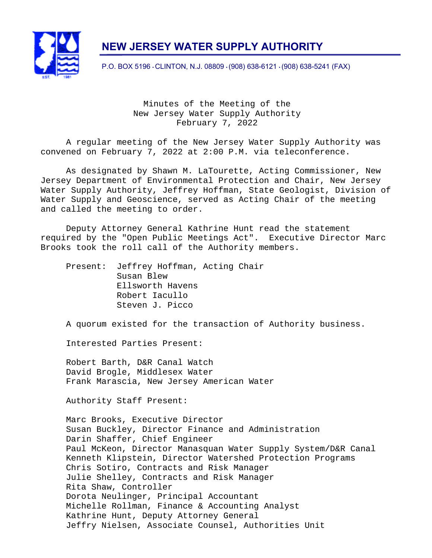

# **NEW JERSEY WATER SUPPLY AUTHORITY**

P.O. BOX 5196 • CLINTON, N.J. 08809 • (908) 638-6121 • (908) 638-5241 (FAX)

Minutes of the Meeting of the New Jersey Water Supply Authority February 7, 2022

A regular meeting of the New Jersey Water Supply Authority was convened on February 7, 2022 at 2:00 P.M. via teleconference.

As designated by Shawn M. LaTourette, Acting Commissioner, New Jersey Department of Environmental Protection and Chair, New Jersey Water Supply Authority, Jeffrey Hoffman, State Geologist, Division of Water Supply and Geoscience, served as Acting Chair of the meeting and called the meeting to order.

Deputy Attorney General Kathrine Hunt read the statement required by the "Open Public Meetings Act". Executive Director Marc Brooks took the roll call of the Authority members.

Present: Jeffrey Hoffman, Acting Chair Susan Blew Ellsworth Havens Robert Iacullo Steven J. Picco

A quorum existed for the transaction of Authority business.

Interested Parties Present:

Robert Barth, D&R Canal Watch David Brogle, Middlesex Water Frank Marascia, New Jersey American Water

Authority Staff Present:

Marc Brooks, Executive Director Susan Buckley, Director Finance and Administration Darin Shaffer, Chief Engineer Paul McKeon, Director Manasquan Water Supply System/D&R Canal Kenneth Klipstein, Director Watershed Protection Programs Chris Sotiro, Contracts and Risk Manager Julie Shelley, Contracts and Risk Manager Rita Shaw, Controller Dorota Neulinger, Principal Accountant Michelle Rollman, Finance & Accounting Analyst Kathrine Hunt, Deputy Attorney General Jeffry Nielsen, Associate Counsel, Authorities Unit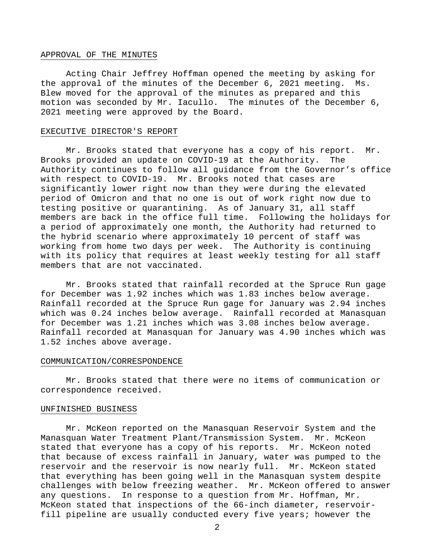## APPROVAL OF THE MINUTES

Acting Chair Jeffrey Hoffman opened the meeting by asking for the approval of the minutes of the December 6, 2021 meeting. Ms. Blew moved for the approval of the minutes as prepared and this motion was seconded by Mr. Iacullo. The minutes of the December 6, 2021 meeting were approved by the Board.

# EXECUTIVE DIRECTOR'S REPORT

Mr. Brooks stated that everyone has a copy of his report. Mr. Brooks provided an update on COVID-19 at the Authority. The Authority continues to follow all guidance from the Governor's office with respect to COVID-19. Mr. Brooks noted that cases are significantly lower right now than they were during the elevated period of Omicron and that no one is out of work right now due to testing positive or quarantining. As of January 31, all staff members are back in the office full time. Following the holidays for a period of approximately one month, the Authority had returned to the hybrid scenario where approximately 10 percent of staff was working from home two days per week. The Authority is continuing with its policy that requires at least weekly testing for all staff members that are not vaccinated.

Mr. Brooks stated that rainfall recorded at the Spruce Run gage for December was 1.92 inches which was 1.83 inches below average. Rainfall recorded at the Spruce Run gage for January was 2.94 inches which was 0.24 inches below average. Rainfall recorded at Manasquan for December was 1.21 inches which was 3.08 inches below average. Rainfall recorded at Manasquan for January was 4.90 inches which was 1.52 inches above average.

#### COMMUNICATION/CORRESPONDENCE

Mr. Brooks stated that there were no items of communication or correspondence received.

## UNFINISHED BUSINESS

Mr. McKeon reported on the Manasquan Reservoir System and the Manasquan Water Treatment Plant/Transmission System. Mr. McKeon stated that everyone has a copy of his reports. Mr. McKeon noted that because of excess rainfall in January, water was pumped to the reservoir and the reservoir is now nearly full. Mr. McKeon stated that everything has been going well in the Manasquan system despite challenges with below freezing weather. Mr. McKeon offered to answer any questions. In response to a question from Mr. Hoffman, Mr. McKeon stated that inspections of the 66-inch diameter, reservoirfill pipeline are usually conducted every five years; however the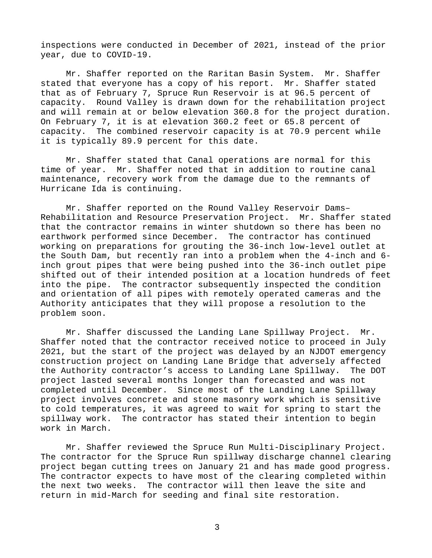inspections were conducted in December of 2021, instead of the prior year, due to COVID-19.

Mr. Shaffer reported on the Raritan Basin System. Mr. Shaffer stated that everyone has a copy of his report. Mr. Shaffer stated that as of February 7, Spruce Run Reservoir is at 96.5 percent of capacity. Round Valley is drawn down for the rehabilitation project and will remain at or below elevation 360.8 for the project duration. On February 7, it is at elevation 360.2 feet or 65.8 percent of capacity. The combined reservoir capacity is at 70.9 percent while it is typically 89.9 percent for this date.

Mr. Shaffer stated that Canal operations are normal for this time of year. Mr. Shaffer noted that in addition to routine canal maintenance, recovery work from the damage due to the remnants of Hurricane Ida is continuing.

Mr. Shaffer reported on the Round Valley Reservoir Dams– Rehabilitation and Resource Preservation Project. Mr. Shaffer stated that the contractor remains in winter shutdown so there has been no earthwork performed since December. The contractor has continued working on preparations for grouting the 36-inch low-level outlet at the South Dam, but recently ran into a problem when the 4-inch and 6 inch grout pipes that were being pushed into the 36-inch outlet pipe shifted out of their intended position at a location hundreds of feet into the pipe. The contractor subsequently inspected the condition and orientation of all pipes with remotely operated cameras and the Authority anticipates that they will propose a resolution to the problem soon.

Mr. Shaffer discussed the Landing Lane Spillway Project. Mr. Shaffer noted that the contractor received notice to proceed in July 2021, but the start of the project was delayed by an NJDOT emergency construction project on Landing Lane Bridge that adversely affected the Authority contractor's access to Landing Lane Spillway. The DOT project lasted several months longer than forecasted and was not completed until December. Since most of the Landing Lane Spillway project involves concrete and stone masonry work which is sensitive to cold temperatures, it was agreed to wait for spring to start the spillway work. The contractor has stated their intention to begin work in March.

Mr. Shaffer reviewed the Spruce Run Multi-Disciplinary Project. The contractor for the Spruce Run spillway discharge channel clearing project began cutting trees on January 21 and has made good progress. The contractor expects to have most of the clearing completed within the next two weeks. The contractor will then leave the site and return in mid-March for seeding and final site restoration.

3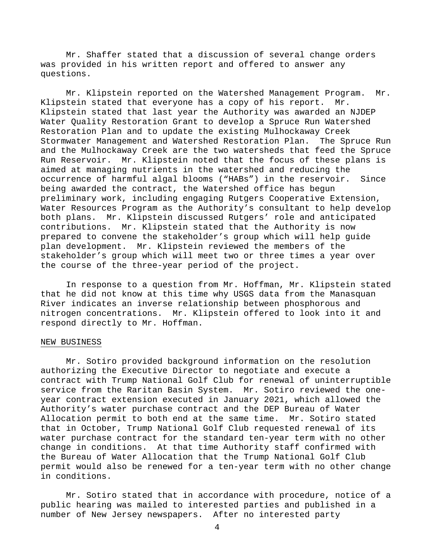Mr. Shaffer stated that a discussion of several change orders was provided in his written report and offered to answer any questions.

 Mr. Klipstein reported on the Watershed Management Program. Mr. Klipstein stated that everyone has a copy of his report. Mr. Klipstein stated that last year the Authority was awarded an NJDEP Water Quality Restoration Grant to develop a Spruce Run Watershed Restoration Plan and to update the existing Mulhockaway Creek Stormwater Management and Watershed Restoration Plan. The Spruce Run and the Mulhockaway Creek are the two watersheds that feed the Spruce Run Reservoir. Mr. Klipstein noted that the focus of these plans is aimed at managing nutrients in the watershed and reducing the occurrence of harmful algal blooms ("HABs") in the reservoir. Since being awarded the contract, the Watershed office has begun preliminary work, including engaging Rutgers Cooperative Extension, Water Resources Program as the Authority's consultant to help develop both plans. Mr. Klipstein discussed Rutgers' role and anticipated contributions. Mr. Klipstein stated that the Authority is now prepared to convene the stakeholder's group which will help guide plan development. Mr. Klipstein reviewed the members of the stakeholder's group which will meet two or three times a year over the course of the three-year period of the project.

 In response to a question from Mr. Hoffman, Mr. Klipstein stated that he did not know at this time why USGS data from the Manasquan River indicates an inverse relationship between phosphorous and nitrogen concentrations. Mr. Klipstein offered to look into it and respond directly to Mr. Hoffman.

## NEW BUSINESS

Mr. Sotiro provided background information on the resolution authorizing the Executive Director to negotiate and execute a contract with Trump National Golf Club for renewal of uninterruptible service from the Raritan Basin System. Mr. Sotiro reviewed the oneyear contract extension executed in January 2021, which allowed the Authority's water purchase contract and the DEP Bureau of Water Allocation permit to both end at the same time. Mr. Sotiro stated that in October, Trump National Golf Club requested renewal of its water purchase contract for the standard ten-year term with no other change in conditions. At that time Authority staff confirmed with the Bureau of Water Allocation that the Trump National Golf Club permit would also be renewed for a ten-year term with no other change in conditions.

Mr. Sotiro stated that in accordance with procedure, notice of a public hearing was mailed to interested parties and published in a number of New Jersey newspapers. After no interested party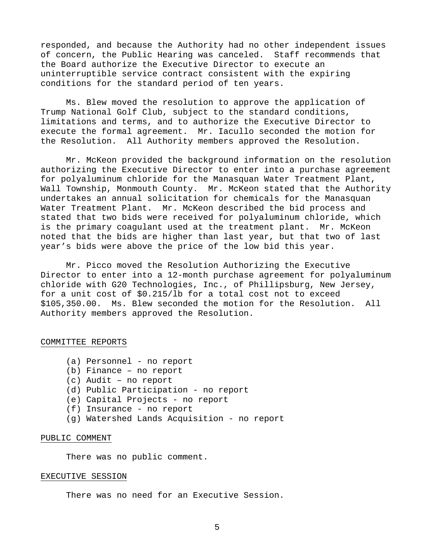responded, and because the Authority had no other independent issues of concern, the Public Hearing was canceled. Staff recommends that the Board authorize the Executive Director to execute an uninterruptible service contract consistent with the expiring conditions for the standard period of ten years.

Ms. Blew moved the resolution to approve the application of Trump National Golf Club, subject to the standard conditions, limitations and terms, and to authorize the Executive Director to execute the formal agreement. Mr. Iacullo seconded the motion for the Resolution. All Authority members approved the Resolution.

Mr. McKeon provided the background information on the resolution authorizing the Executive Director to enter into a purchase agreement for polyaluminum chloride for the Manasquan Water Treatment Plant, Wall Township, Monmouth County. Mr. McKeon stated that the Authority undertakes an annual solicitation for chemicals for the Manasquan Water Treatment Plant. Mr. McKeon described the bid process and stated that two bids were received for polyaluminum chloride, which is the primary coagulant used at the treatment plant. Mr. McKeon noted that the bids are higher than last year, but that two of last year's bids were above the price of the low bid this year.

Mr. Picco moved the Resolution Authorizing the Executive Director to enter into a 12-month purchase agreement for polyaluminum chloride with G20 Technologies, Inc., of Phillipsburg, New Jersey, for a unit cost of \$0.215/lb for a total cost not to exceed \$105,350.00. Ms. Blew seconded the motion for the Resolution. All Authority members approved the Resolution.

## COMMITTEE REPORTS

- (a) Personnel no report
- (b) Finance no report
- (c) Audit no report
- (d) Public Participation no report
- (e) Capital Projects no report
- (f) Insurance no report
- (g) Watershed Lands Acquisition no report

# PUBLIC COMMENT

There was no public comment.

# EXECUTIVE SESSION

There was no need for an Executive Session.